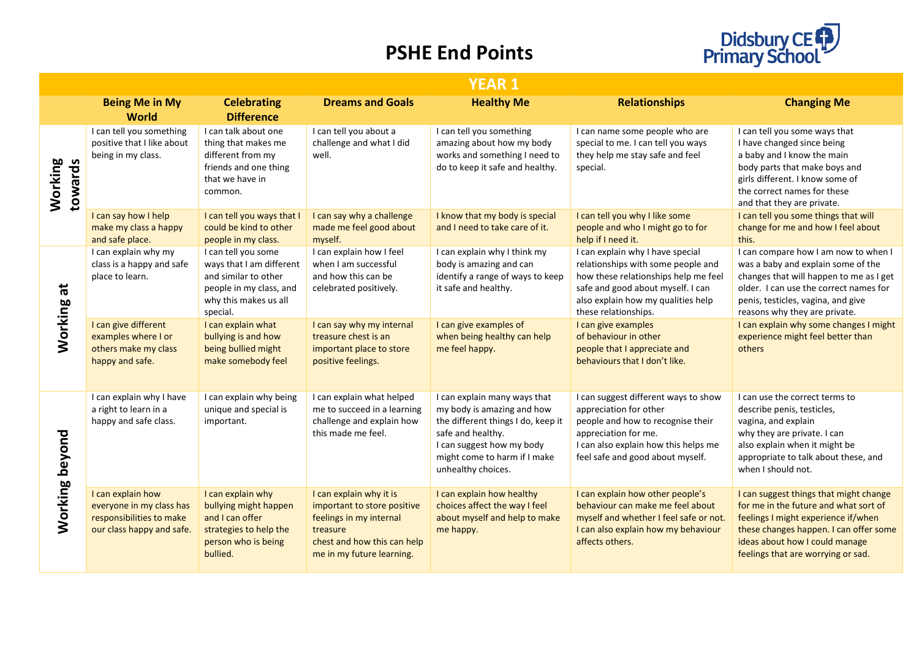## **PSHE End Points**



|                    | <b>YEAR 1</b>                                                                                          |                                                                                                                                         |                                                                                                                                                           |                                                                                                                                                                                                          |                                                                                                                                                                                                                   |                                                                                                                                                                                                                                          |
|--------------------|--------------------------------------------------------------------------------------------------------|-----------------------------------------------------------------------------------------------------------------------------------------|-----------------------------------------------------------------------------------------------------------------------------------------------------------|----------------------------------------------------------------------------------------------------------------------------------------------------------------------------------------------------------|-------------------------------------------------------------------------------------------------------------------------------------------------------------------------------------------------------------------|------------------------------------------------------------------------------------------------------------------------------------------------------------------------------------------------------------------------------------------|
|                    | <b>Being Me in My</b><br><b>World</b>                                                                  | <b>Celebrating</b><br><b>Difference</b>                                                                                                 | <b>Dreams and Goals</b>                                                                                                                                   | <b>Healthy Me</b>                                                                                                                                                                                        | <b>Relationships</b>                                                                                                                                                                                              | <b>Changing Me</b>                                                                                                                                                                                                                       |
| Working<br>towards | I can tell you something<br>positive that I like about<br>being in my class.                           | I can talk about one<br>thing that makes me<br>different from my<br>friends and one thing<br>that we have in<br>common.                 | I can tell you about a<br>challenge and what I did<br>well.                                                                                               | I can tell you something<br>amazing about how my body<br>works and something I need to<br>do to keep it safe and healthy.                                                                                | I can name some people who are<br>special to me. I can tell you ways<br>they help me stay safe and feel<br>special.                                                                                               | I can tell you some ways that<br>I have changed since being<br>a baby and I know the main<br>body parts that make boys and<br>girls different. I know some of<br>the correct names for these<br>and that they are private.               |
|                    | I can say how I help<br>make my class a happy<br>and safe place.                                       | I can tell you ways that I<br>could be kind to other<br>people in my class.                                                             | I can say why a challenge<br>made me feel good about<br>myself.                                                                                           | I know that my body is special<br>and I need to take care of it.                                                                                                                                         | I can tell you why I like some<br>people and who I might go to for<br>help if I need it.                                                                                                                          | I can tell you some things that will<br>change for me and how I feel about<br>this.                                                                                                                                                      |
| $\vec{a}$          | I can explain why my<br>class is a happy and safe<br>place to learn.                                   | I can tell you some<br>ways that I am different<br>and similar to other<br>people in my class, and<br>why this makes us all<br>special. | I can explain how I feel<br>when I am successful<br>and how this can be<br>celebrated positively.                                                         | I can explain why I think my<br>body is amazing and can<br>identify a range of ways to keep<br>it safe and healthy.                                                                                      | I can explain why I have special<br>relationships with some people and<br>how these relationships help me feel<br>safe and good about myself. I can<br>also explain how my qualities help<br>these relationships. | I can compare how I am now to when I<br>was a baby and explain some of the<br>changes that will happen to me as I get<br>older. I can use the correct names for<br>penis, testicles, vagina, and give<br>reasons why they are private.   |
| Working            | I can give different<br>examples where I or<br>others make my class<br>happy and safe.                 | I can explain what<br>bullying is and how<br>being bullied might<br>make somebody feel                                                  | I can say why my internal<br>treasure chest is an<br>important place to store<br>positive feelings.                                                       | I can give examples of<br>when being healthy can help<br>me feel happy.                                                                                                                                  | I can give examples<br>of behaviour in other<br>people that I appreciate and<br>behaviours that I don't like.                                                                                                     | I can explain why some changes I might<br>experience might feel better than<br>others                                                                                                                                                    |
| Working beyond     | I can explain why I have<br>a right to learn in a<br>happy and safe class.                             | I can explain why being<br>unique and special is<br>important.                                                                          | I can explain what helped<br>me to succeed in a learning<br>challenge and explain how<br>this made me feel.                                               | I can explain many ways that<br>my body is amazing and how<br>the different things I do, keep it<br>safe and healthy.<br>I can suggest how my body<br>might come to harm if I make<br>unhealthy choices. | I can suggest different ways to show<br>appreciation for other<br>people and how to recognise their<br>appreciation for me.<br>I can also explain how this helps me<br>feel safe and good about myself.           | I can use the correct terms to<br>describe penis, testicles,<br>vagina, and explain<br>why they are private. I can<br>also explain when it might be<br>appropriate to talk about these, and<br>when I should not.                        |
|                    | I can explain how<br>everyone in my class has<br>responsibilities to make<br>our class happy and safe. | I can explain why<br>bullying might happen<br>and I can offer<br>strategies to help the<br>person who is being<br>bullied.              | I can explain why it is<br>important to store positive<br>feelings in my internal<br>treasure<br>chest and how this can help<br>me in my future learning. | I can explain how healthy<br>choices affect the way I feel<br>about myself and help to make<br>me happy.                                                                                                 | I can explain how other people's<br>behaviour can make me feel about<br>myself and whether I feel safe or not.<br>I can also explain how my behaviour<br>affects others.                                          | I can suggest things that might change<br>for me in the future and what sort of<br>feelings I might experience if/when<br>these changes happen. I can offer some<br>ideas about how I could manage<br>feelings that are worrying or sad. |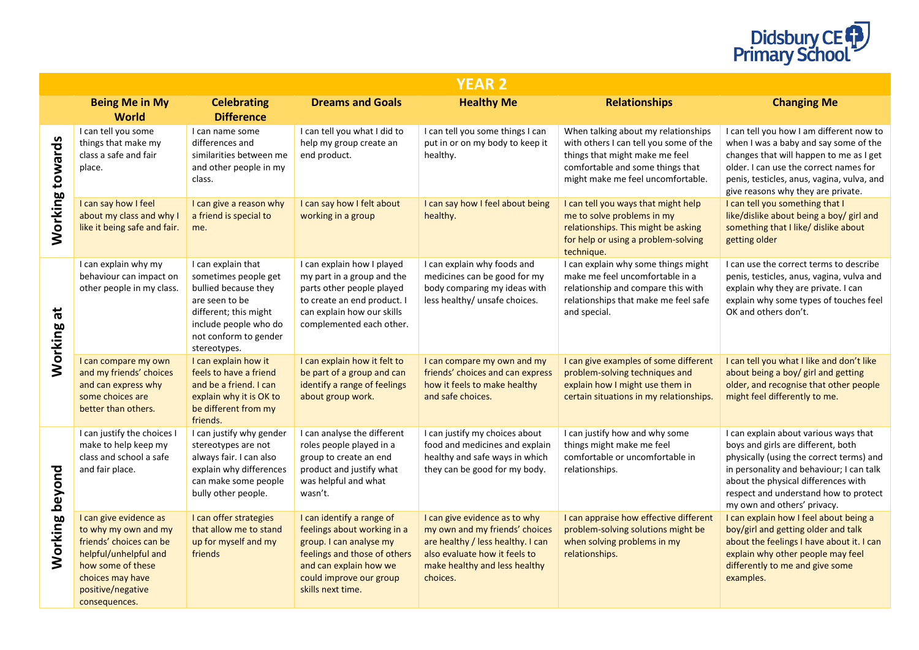

|                             | <b>YEAR 2</b>                                                                                                                                                                     |                                                                                                                                                                                 |                                                                                                                                                                                               |                                                                                                                                                                                    |                                                                                                                                                                                          |                                                                                                                                                                                                                                                                                    |  |
|-----------------------------|-----------------------------------------------------------------------------------------------------------------------------------------------------------------------------------|---------------------------------------------------------------------------------------------------------------------------------------------------------------------------------|-----------------------------------------------------------------------------------------------------------------------------------------------------------------------------------------------|------------------------------------------------------------------------------------------------------------------------------------------------------------------------------------|------------------------------------------------------------------------------------------------------------------------------------------------------------------------------------------|------------------------------------------------------------------------------------------------------------------------------------------------------------------------------------------------------------------------------------------------------------------------------------|--|
|                             | <b>Being Me in My</b><br><b>World</b>                                                                                                                                             | <b>Celebrating</b><br><b>Difference</b>                                                                                                                                         | <b>Dreams and Goals</b>                                                                                                                                                                       | <b>Healthy Me</b>                                                                                                                                                                  | <b>Relationships</b>                                                                                                                                                                     | <b>Changing Me</b>                                                                                                                                                                                                                                                                 |  |
| Working towards             | I can tell you some<br>things that make my<br>class a safe and fair<br>place.                                                                                                     | I can name some<br>differences and<br>similarities between me<br>and other people in my<br>class.                                                                               | I can tell you what I did to<br>help my group create an<br>end product.                                                                                                                       | I can tell you some things I can<br>put in or on my body to keep it<br>healthy.                                                                                                    | When talking about my relationships<br>with others I can tell you some of the<br>things that might make me feel<br>comfortable and some things that<br>might make me feel uncomfortable. | I can tell you how I am different now to<br>when I was a baby and say some of the<br>changes that will happen to me as I get<br>older. I can use the correct names for<br>penis, testicles, anus, vagina, vulva, and<br>give reasons why they are private.                         |  |
|                             | I can say how I feel<br>about my class and why I<br>like it being safe and fair.                                                                                                  | I can give a reason why<br>a friend is special to<br>me.                                                                                                                        | I can say how I felt about<br>working in a group                                                                                                                                              | I can say how I feel about being<br>healthy.                                                                                                                                       | I can tell you ways that might help<br>me to solve problems in my<br>relationships. This might be asking<br>for help or using a problem-solving<br>technique.                            | I can tell you something that I<br>like/dislike about being a boy/ girl and<br>something that I like/ dislike about<br>getting older                                                                                                                                               |  |
| $\vec{a}$<br><b>Working</b> | I can explain why my<br>behaviour can impact on<br>other people in my class.                                                                                                      | I can explain that<br>sometimes people get<br>bullied because they<br>are seen to be<br>different; this might<br>include people who do<br>not conform to gender<br>stereotypes. | I can explain how I played<br>my part in a group and the<br>parts other people played<br>to create an end product. I<br>can explain how our skills<br>complemented each other.                | I can explain why foods and<br>medicines can be good for my<br>body comparing my ideas with<br>less healthy/ unsafe choices.                                                       | I can explain why some things might<br>make me feel uncomfortable in a<br>relationship and compare this with<br>relationships that make me feel safe<br>and special.                     | I can use the correct terms to describe<br>penis, testicles, anus, vagina, vulva and<br>explain why they are private. I can<br>explain why some types of touches feel<br>OK and others don't.                                                                                      |  |
|                             | I can compare my own<br>and my friends' choices<br>and can express why<br>some choices are<br>better than others.                                                                 | I can explain how it<br>feels to have a friend<br>and be a friend. I can<br>explain why it is OK to<br>be different from my<br>friends.                                         | I can explain how it felt to<br>be part of a group and can<br>identify a range of feelings<br>about group work.                                                                               | I can compare my own and my<br>friends' choices and can express<br>how it feels to make healthy<br>and safe choices.                                                               | I can give examples of some different<br>problem-solving techniques and<br>explain how I might use them in<br>certain situations in my relationships.                                    | I can tell you what I like and don't like<br>about being a boy/ girl and getting<br>older, and recognise that other people<br>might feel differently to me.                                                                                                                        |  |
| Working beyond              | I can justify the choices I<br>make to help keep my<br>class and school a safe<br>and fair place.                                                                                 | I can justify why gender<br>stereotypes are not<br>always fair. I can also<br>explain why differences<br>can make some people<br>bully other people.                            | I can analyse the different<br>roles people played in a<br>group to create an end<br>product and justify what<br>was helpful and what<br>wasn't.                                              | I can justify my choices about<br>food and medicines and explain<br>healthy and safe ways in which<br>they can be good for my body.                                                | I can justify how and why some<br>things might make me feel<br>comfortable or uncomfortable in<br>relationships.                                                                         | I can explain about various ways that<br>boys and girls are different, both<br>physically (using the correct terms) and<br>in personality and behaviour; I can talk<br>about the physical differences with<br>respect and understand how to protect<br>my own and others' privacy. |  |
|                             | I can give evidence as<br>to why my own and my<br>friends' choices can be<br>helpful/unhelpful and<br>how some of these<br>choices may have<br>positive/negative<br>consequences. | I can offer strategies<br>that allow me to stand<br>up for myself and my<br>friends                                                                                             | I can identify a range of<br>feelings about working in a<br>group. I can analyse my<br>feelings and those of others<br>and can explain how we<br>could improve our group<br>skills next time. | I can give evidence as to why<br>my own and my friends' choices<br>are healthy / less healthy. I can<br>also evaluate how it feels to<br>make healthy and less healthy<br>choices. | I can appraise how effective different<br>problem-solving solutions might be<br>when solving problems in my<br>relationships.                                                            | I can explain how I feel about being a<br>boy/girl and getting older and talk<br>about the feelings I have about it. I can<br>explain why other people may feel<br>differently to me and give some<br>examples.                                                                    |  |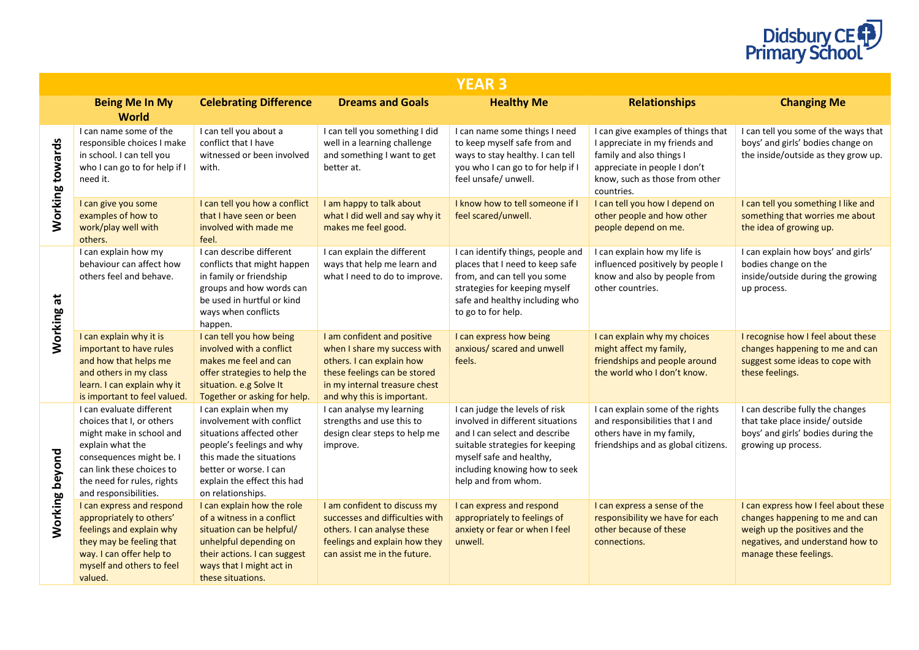

|                             | <b>YEAR 3</b>                                                                                                                                                                                                         |                                                                                                                                                                                                                        |                                                                                                                                                                                         |                                                                                                                                                                                                                            |                                                                                                                                                                                  |                                                                                                                                                                         |  |  |
|-----------------------------|-----------------------------------------------------------------------------------------------------------------------------------------------------------------------------------------------------------------------|------------------------------------------------------------------------------------------------------------------------------------------------------------------------------------------------------------------------|-----------------------------------------------------------------------------------------------------------------------------------------------------------------------------------------|----------------------------------------------------------------------------------------------------------------------------------------------------------------------------------------------------------------------------|----------------------------------------------------------------------------------------------------------------------------------------------------------------------------------|-------------------------------------------------------------------------------------------------------------------------------------------------------------------------|--|--|
|                             | <b>Being Me In My</b><br><b>World</b>                                                                                                                                                                                 | <b>Celebrating Difference</b>                                                                                                                                                                                          | <b>Dreams and Goals</b>                                                                                                                                                                 | <b>Healthy Me</b>                                                                                                                                                                                                          | <b>Relationships</b>                                                                                                                                                             | <b>Changing Me</b>                                                                                                                                                      |  |  |
| Working towards             | I can name some of the<br>responsible choices I make<br>in school. I can tell you<br>who I can go to for help if I<br>need it.                                                                                        | I can tell you about a<br>conflict that I have<br>witnessed or been involved<br>with.                                                                                                                                  | I can tell you something I did<br>well in a learning challenge<br>and something I want to get<br>better at.                                                                             | I can name some things I need<br>to keep myself safe from and<br>ways to stay healthy. I can tell<br>you who I can go to for help if I<br>feel unsafe/ unwell.                                                             | I can give examples of things that<br>I appreciate in my friends and<br>family and also things I<br>appreciate in people I don't<br>know, such as those from other<br>countries. | I can tell you some of the ways that<br>boys' and girls' bodies change on<br>the inside/outside as they grow up.                                                        |  |  |
|                             | I can give you some<br>examples of how to<br>work/play well with<br>others.                                                                                                                                           | I can tell you how a conflict<br>that I have seen or been<br>involved with made me<br>feel.                                                                                                                            | I am happy to talk about<br>what I did well and say why it<br>makes me feel good.                                                                                                       | I know how to tell someone if I<br>feel scared/unwell.                                                                                                                                                                     | I can tell you how I depend on<br>other people and how other<br>people depend on me.                                                                                             | I can tell you something I like and<br>something that worries me about<br>the idea of growing up.                                                                       |  |  |
| $\vec{a}$<br><b>Working</b> | I can explain how my<br>behaviour can affect how<br>others feel and behave.                                                                                                                                           | I can describe different<br>conflicts that might happen<br>in family or friendship<br>groups and how words can<br>be used in hurtful or kind<br>ways when conflicts<br>happen.                                         | I can explain the different<br>ways that help me learn and<br>what I need to do to improve.                                                                                             | I can identify things, people and<br>places that I need to keep safe<br>from, and can tell you some<br>strategies for keeping myself<br>safe and healthy including who<br>to go to for help.                               | I can explain how my life is<br>influenced positively by people I<br>know and also by people from<br>other countries.                                                            | I can explain how boys' and girls'<br>bodies change on the<br>inside/outside during the growing<br>up process.                                                          |  |  |
|                             | I can explain why it is<br>important to have rules<br>and how that helps me<br>and others in my class<br>learn. I can explain why it<br>is important to feel valued.                                                  | I can tell you how being<br>involved with a conflict<br>makes me feel and can<br>offer strategies to help the<br>situation. e.g Solve It<br>Together or asking for help.                                               | I am confident and positive<br>when I share my success with<br>others. I can explain how<br>these feelings can be stored<br>in my internal treasure chest<br>and why this is important. | I can express how being<br>anxious/ scared and unwell<br>feels.                                                                                                                                                            | I can explain why my choices<br>might affect my family,<br>friendships and people around<br>the world who I don't know.                                                          | I recognise how I feel about these<br>changes happening to me and can<br>suggest some ideas to cope with<br>these feelings.                                             |  |  |
| Working beyond              | I can evaluate different<br>choices that I, or others<br>might make in school and<br>explain what the<br>consequences might be. I<br>can link these choices to<br>the need for rules, rights<br>and responsibilities. | I can explain when my<br>involvement with conflict<br>situations affected other<br>people's feelings and why<br>this made the situations<br>better or worse. I can<br>explain the effect this had<br>on relationships. | I can analyse my learning<br>strengths and use this to<br>design clear steps to help me<br>improve.                                                                                     | I can judge the levels of risk<br>involved in different situations<br>and I can select and describe<br>suitable strategies for keeping<br>myself safe and healthy,<br>including knowing how to seek<br>help and from whom. | I can explain some of the rights<br>and responsibilities that I and<br>others have in my family,<br>friendships and as global citizens.                                          | I can describe fully the changes<br>that take place inside/outside<br>boys' and girls' bodies during the<br>growing up process.                                         |  |  |
|                             | I can express and respond<br>appropriately to others'<br>feelings and explain why<br>they may be feeling that<br>way. I can offer help to<br>myself and others to feel<br>valued.                                     | I can explain how the role<br>of a witness in a conflict<br>situation can be helpful/<br>unhelpful depending on<br>their actions. I can suggest<br>ways that I might act in<br>these situations.                       | I am confident to discuss my<br>successes and difficulties with<br>others. I can analyse these<br>feelings and explain how they<br>can assist me in the future.                         | I can express and respond<br>appropriately to feelings of<br>anxiety or fear or when I feel<br>unwell.                                                                                                                     | I can express a sense of the<br>responsibility we have for each<br>other because of these<br>connections.                                                                        | I can express how I feel about these<br>changes happening to me and can<br>weigh up the positives and the<br>negatives, and understand how to<br>manage these feelings. |  |  |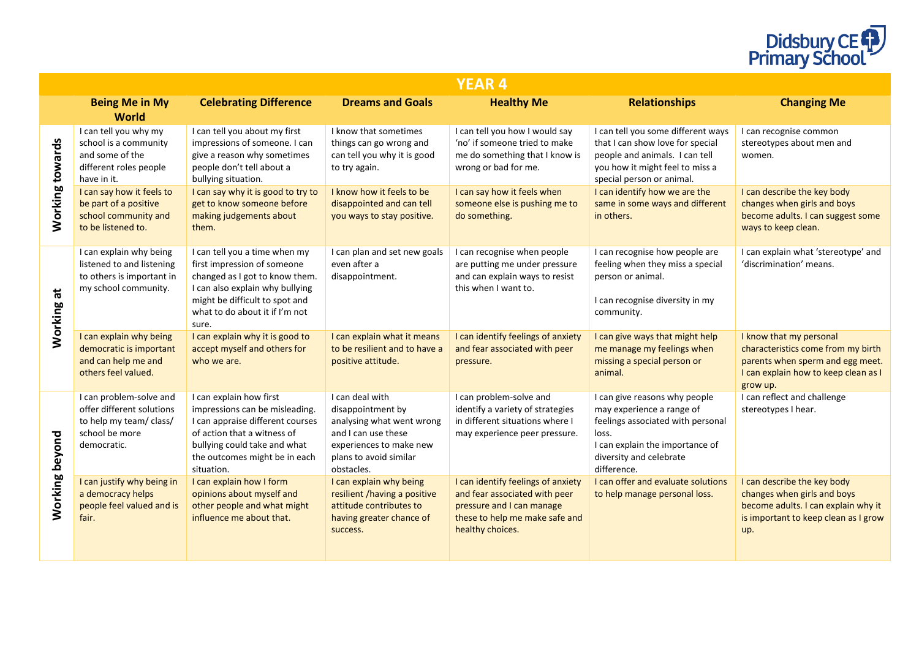

|                           |                                                                                                                  |                                                                                                                                                                                                                |                                                                                                                                                             | <b>YEAR 4</b>                                                                                                                                          |                                                                                                                                                                                       |                                                                                                                                                       |
|---------------------------|------------------------------------------------------------------------------------------------------------------|----------------------------------------------------------------------------------------------------------------------------------------------------------------------------------------------------------------|-------------------------------------------------------------------------------------------------------------------------------------------------------------|--------------------------------------------------------------------------------------------------------------------------------------------------------|---------------------------------------------------------------------------------------------------------------------------------------------------------------------------------------|-------------------------------------------------------------------------------------------------------------------------------------------------------|
|                           | <b>Being Me in My</b><br><b>World</b>                                                                            | <b>Celebrating Difference</b>                                                                                                                                                                                  | <b>Dreams and Goals</b>                                                                                                                                     | <b>Healthy Me</b>                                                                                                                                      | <b>Relationships</b>                                                                                                                                                                  | <b>Changing Me</b>                                                                                                                                    |
| Working towards           | I can tell you why my<br>school is a community<br>and some of the<br>different roles people<br>have in it.       | I can tell you about my first<br>impressions of someone. I can<br>give a reason why sometimes<br>people don't tell about a<br>bullying situation.                                                              | I know that sometimes<br>things can go wrong and<br>can tell you why it is good<br>to try again.                                                            | I can tell you how I would say<br>'no' if someone tried to make<br>me do something that I know is<br>wrong or bad for me.                              | I can tell you some different ways<br>that I can show love for special<br>people and animals. I can tell<br>you how it might feel to miss a<br>special person or animal.              | I can recognise common<br>stereotypes about men and<br>women.                                                                                         |
|                           | I can say how it feels to<br>be part of a positive<br>school community and<br>to be listened to.                 | I can say why it is good to try to<br>get to know someone before<br>making judgements about<br>them.                                                                                                           | I know how it feels to be<br>disappointed and can tell<br>you ways to stay positive.                                                                        | I can say how it feels when<br>someone else is pushing me to<br>do something.                                                                          | I can identify how we are the<br>same in some ways and different<br>in others.                                                                                                        | I can describe the key body<br>changes when girls and boys<br>become adults. I can suggest some<br>ways to keep clean.                                |
| $\overline{a}$<br>Working | I can explain why being<br>listened to and listening<br>to others is important in<br>my school community.        | I can tell you a time when my<br>first impression of someone<br>changed as I got to know them.<br>I can also explain why bullying<br>might be difficult to spot and<br>what to do about it if I'm not<br>sure. | I can plan and set new goals<br>even after a<br>disappointment.                                                                                             | I can recognise when people<br>are putting me under pressure<br>and can explain ways to resist<br>this when I want to.                                 | I can recognise how people are<br>feeling when they miss a special<br>person or animal.<br>I can recognise diversity in my<br>community.                                              | I can explain what 'stereotype' and<br>'discrimination' means.                                                                                        |
|                           | I can explain why being<br>democratic is important<br>and can help me and<br>others feel valued.                 | I can explain why it is good to<br>accept myself and others for<br>who we are.                                                                                                                                 | I can explain what it means<br>to be resilient and to have a<br>positive attitude.                                                                          | I can identify feelings of anxiety<br>and fear associated with peer<br>pressure.                                                                       | I can give ways that might help<br>me manage my feelings when<br>missing a special person or<br>animal.                                                                               | I know that my personal<br>characteristics come from my birth<br>parents when sperm and egg meet.<br>I can explain how to keep clean as I<br>grow up. |
| Working beyond            | I can problem-solve and<br>offer different solutions<br>to help my team/ class/<br>school be more<br>democratic. | I can explain how first<br>impressions can be misleading.<br>I can appraise different courses<br>of action that a witness of<br>bullying could take and what<br>the outcomes might be in each<br>situation.    | I can deal with<br>disappointment by<br>analysing what went wrong<br>and I can use these<br>experiences to make new<br>plans to avoid similar<br>obstacles. | I can problem-solve and<br>identify a variety of strategies<br>in different situations where I<br>may experience peer pressure.                        | I can give reasons why people<br>may experience a range of<br>feelings associated with personal<br>loss.<br>I can explain the importance of<br>diversity and celebrate<br>difference. | I can reflect and challenge<br>stereotypes I hear.                                                                                                    |
|                           | I can justify why being in<br>a democracy helps<br>people feel valued and is<br>fair.                            | I can explain how I form<br>opinions about myself and<br>other people and what might<br>influence me about that.                                                                                               | I can explain why being<br>resilient /having a positive<br>attitude contributes to<br>having greater chance of<br>success.                                  | I can identify feelings of anxiety<br>and fear associated with peer<br>pressure and I can manage<br>these to help me make safe and<br>healthy choices. | I can offer and evaluate solutions<br>to help manage personal loss.                                                                                                                   | I can describe the key body<br>changes when girls and boys<br>become adults. I can explain why it<br>is important to keep clean as I grow<br>up.      |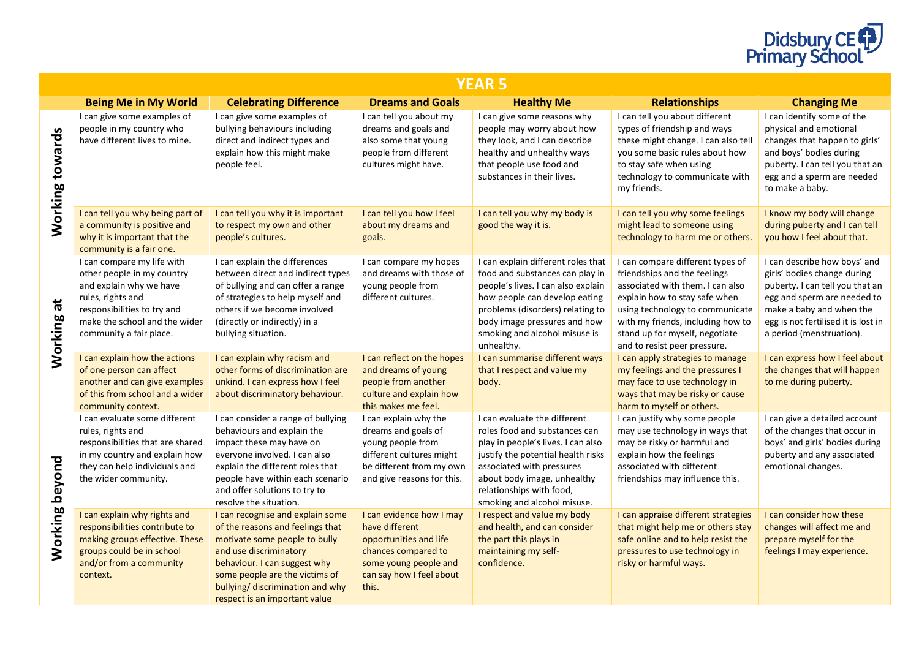

|                      | /EAR 5                                                                                                                                                                                              |                                                                                                                                                                                                                                                                        |                                                                                                                                                           |                                                                                                                                                                                                                                                                  |                                                                                                                                                                                                                                                                                 |                                                                                                                                                                                                                              |  |  |
|----------------------|-----------------------------------------------------------------------------------------------------------------------------------------------------------------------------------------------------|------------------------------------------------------------------------------------------------------------------------------------------------------------------------------------------------------------------------------------------------------------------------|-----------------------------------------------------------------------------------------------------------------------------------------------------------|------------------------------------------------------------------------------------------------------------------------------------------------------------------------------------------------------------------------------------------------------------------|---------------------------------------------------------------------------------------------------------------------------------------------------------------------------------------------------------------------------------------------------------------------------------|------------------------------------------------------------------------------------------------------------------------------------------------------------------------------------------------------------------------------|--|--|
|                      | <b>Being Me in My World</b>                                                                                                                                                                         | <b>Celebrating Difference</b>                                                                                                                                                                                                                                          | <b>Dreams and Goals</b>                                                                                                                                   | <b>Healthy Me</b>                                                                                                                                                                                                                                                | <b>Relationships</b>                                                                                                                                                                                                                                                            | <b>Changing Me</b>                                                                                                                                                                                                           |  |  |
| Working towards      | I can give some examples of<br>people in my country who<br>have different lives to mine.                                                                                                            | I can give some examples of<br>bullying behaviours including<br>direct and indirect types and<br>explain how this might make<br>people feel.                                                                                                                           | I can tell you about my<br>dreams and goals and<br>also some that young<br>people from different<br>cultures might have.                                  | I can give some reasons why<br>people may worry about how<br>they look, and I can describe<br>healthy and unhealthy ways<br>that people use food and<br>substances in their lives.                                                                               | I can tell you about different<br>types of friendship and ways<br>these might change. I can also tell<br>vou some basic rules about how<br>to stay safe when using<br>technology to communicate with<br>my friends.                                                             | I can identify some of the<br>physical and emotional<br>changes that happen to girls'<br>and boys' bodies during<br>puberty. I can tell you that an<br>egg and a sperm are needed<br>to make a baby.                         |  |  |
|                      | I can tell you why being part of<br>a community is positive and<br>why it is important that the<br>community is a fair one.                                                                         | I can tell you why it is important<br>to respect my own and other<br>people's cultures.                                                                                                                                                                                | I can tell you how I feel<br>about my dreams and<br>goals.                                                                                                | I can tell you why my body is<br>good the way it is.                                                                                                                                                                                                             | I can tell you why some feelings<br>might lead to someone using<br>technology to harm me or others.                                                                                                                                                                             | I know my body will change<br>during puberty and I can tell<br>you how I feel about that.                                                                                                                                    |  |  |
| $\vec{a}$<br>Working | I can compare my life with<br>other people in my country<br>and explain why we have<br>rules, rights and<br>responsibilities to try and<br>make the school and the wider<br>community a fair place. | I can explain the differences<br>between direct and indirect types<br>of bullying and can offer a range<br>of strategies to help myself and<br>others if we become involved<br>(directly or indirectly) in a<br>bullying situation.                                    | I can compare my hopes<br>and dreams with those of<br>young people from<br>different cultures.                                                            | I can explain different roles that<br>food and substances can play in<br>people's lives. I can also explain<br>how people can develop eating<br>problems (disorders) relating to<br>body image pressures and how<br>smoking and alcohol misuse is<br>unhealthy.  | I can compare different types of<br>friendships and the feelings<br>associated with them. I can also<br>explain how to stay safe when<br>using technology to communicate<br>with my friends, including how to<br>stand up for myself, negotiate<br>and to resist peer pressure. | I can describe how boys' and<br>girls' bodies change during<br>puberty. I can tell you that an<br>egg and sperm are needed to<br>make a baby and when the<br>egg is not fertilised it is lost in<br>a period (menstruation). |  |  |
|                      | I can explain how the actions<br>of one person can affect<br>another and can give examples<br>of this from school and a wider<br>community context.                                                 | I can explain why racism and<br>other forms of discrimination are<br>unkind. I can express how I feel<br>about discriminatory behaviour.                                                                                                                               | I can reflect on the hopes<br>and dreams of young<br>people from another<br>culture and explain how<br>this makes me feel.                                | I can summarise different ways<br>that I respect and value my<br>body.                                                                                                                                                                                           | I can apply strategies to manage<br>my feelings and the pressures I<br>may face to use technology in<br>ways that may be risky or cause<br>harm to myself or others.                                                                                                            | I can express how I feel about<br>the changes that will happen<br>to me during puberty.                                                                                                                                      |  |  |
| beyond               | I can evaluate some different<br>rules, rights and<br>responsibilities that are shared<br>in my country and explain how<br>they can help individuals and<br>the wider community.                    | I can consider a range of bullying<br>behaviours and explain the<br>impact these may have on<br>everyone involved. I can also<br>explain the different roles that<br>people have within each scenario<br>and offer solutions to try to<br>resolve the situation.       | I can explain why the<br>dreams and goals of<br>young people from<br>different cultures might<br>be different from my own<br>and give reasons for this.   | I can evaluate the different<br>roles food and substances can<br>play in people's lives. I can also<br>justify the potential health risks<br>associated with pressures<br>about body image, unhealthy<br>relationships with food,<br>smoking and alcohol misuse. | I can justify why some people<br>may use technology in ways that<br>may be risky or harmful and<br>explain how the feelings<br>associated with different<br>friendships may influence this.                                                                                     | I can give a detailed account<br>of the changes that occur in<br>boys' and girls' bodies during<br>puberty and any associated<br>emotional changes.                                                                          |  |  |
| Working              | I can explain why rights and<br>responsibilities contribute to<br>making groups effective. These<br>groups could be in school<br>and/or from a community<br>context.                                | I can recognise and explain some<br>of the reasons and feelings that<br>motivate some people to bully<br>and use discriminatory<br>behaviour. I can suggest why<br>some people are the victims of<br>bullying/ discrimination and why<br>respect is an important value | I can evidence how I may<br>have different<br>opportunities and life<br>chances compared to<br>some young people and<br>can say how I feel about<br>this. | I respect and value my body<br>and health, and can consider<br>the part this plays in<br>maintaining my self-<br>confidence.                                                                                                                                     | I can appraise different strategies<br>that might help me or others stay<br>safe online and to help resist the<br>pressures to use technology in<br>risky or harmful ways.                                                                                                      | I can consider how these<br>changes will affect me and<br>prepare myself for the<br>feelings I may experience.                                                                                                               |  |  |